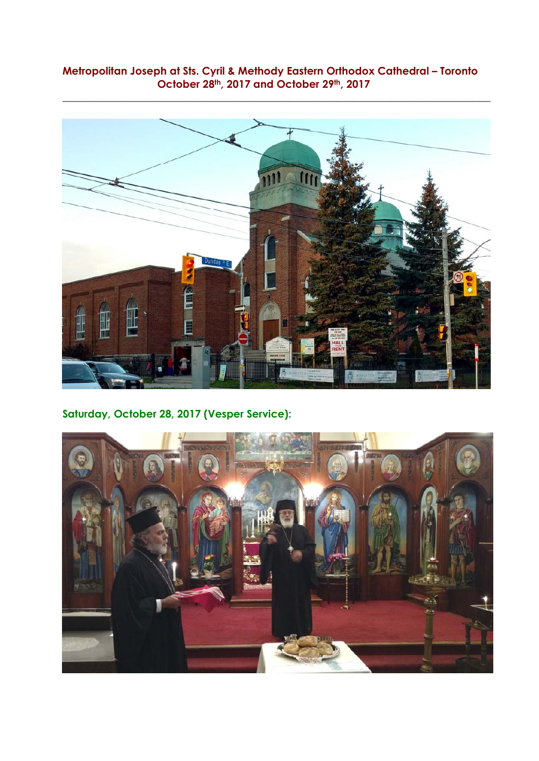## **Metropolitan Joseph at Sts. Cyril & Methody Eastern Orthodox Cathedral – Toronto October 28th, 2017 and October 29th, 2017**



**Saturday, October 28, 2017 (Vesper Service):** 

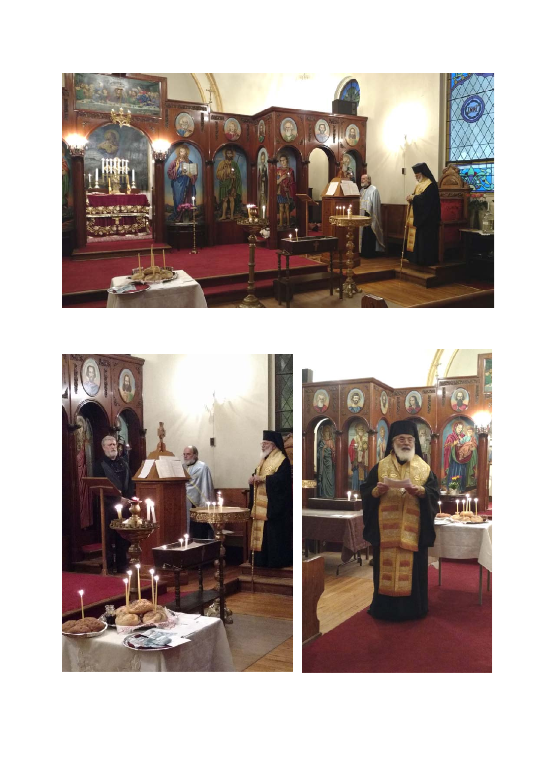

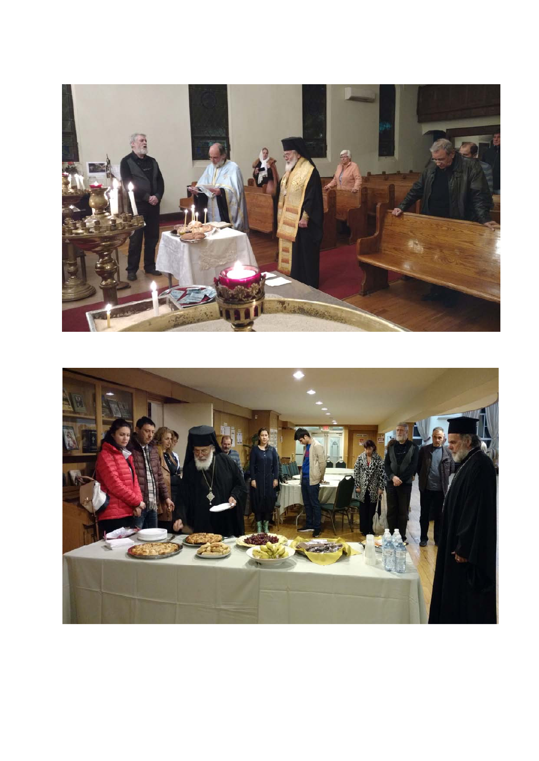

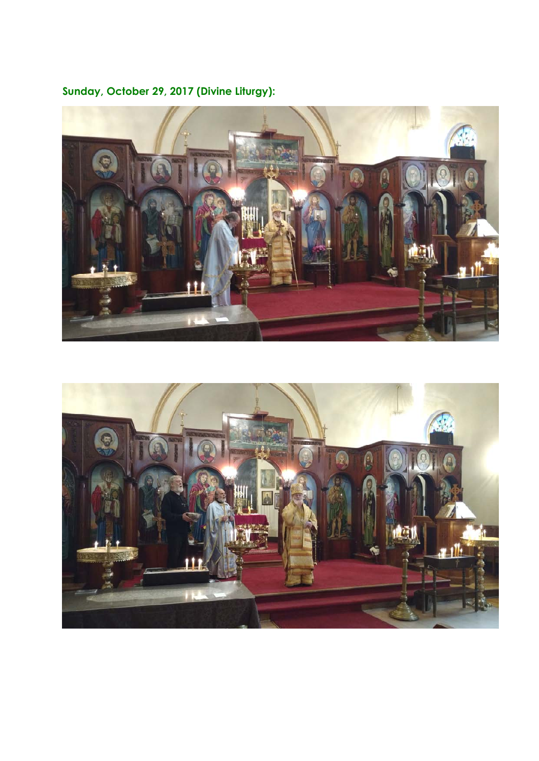

**Sunday, October 29, 2017 (Divine Liturgy):** 

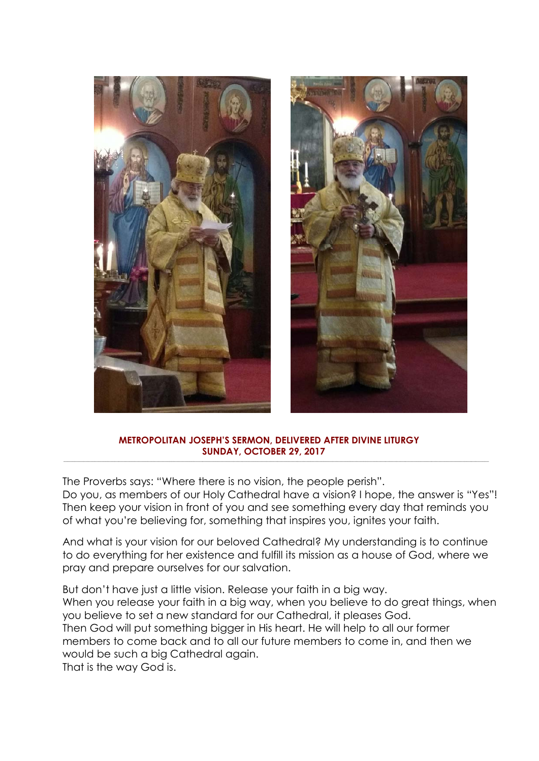



## **METROPOLITAN JOSEPH'S SERMON, DELIVERED AFTER DIVINE LITURGY SUNDAY, OCTOBER 29, 2017**

 **\_\_\_\_\_\_\_\_\_\_\_\_\_\_\_\_\_\_\_\_\_\_\_\_\_\_\_\_\_\_\_\_\_\_\_\_\_\_\_\_\_\_\_\_\_\_\_\_\_\_\_\_\_\_\_\_\_\_\_\_\_\_\_\_\_\_\_\_\_\_\_\_\_\_\_\_\_\_\_\_\_\_\_\_\_\_\_\_\_\_\_\_\_\_\_\_\_\_\_\_\_\_\_\_\_\_\_\_\_\_\_\_\_\_\_\_\_\_\_\_\_\_\_\_\_\_\_\_\_\_\_\_\_\_\_\_\_\_\_\_\_\_\_\_\_\_\_\_\_\_\_\_\_\_\_\_\_\_\_\_\_\_\_\_\_\_\_\_\_\_\_\_\_\_\_\_\_\_\_\_\_\_\_\_\_\_\_\_\_\_\_\_\_** 

The Proverbs says: "Where there is no vision, the people perish". Do you, as members of our Holy Cathedral have a vision? I hope, the answer is "Yes"! Then keep your vision in front of you and see something every day that reminds you of what you're believing for, something that inspires you, ignites your faith.

And what is your vision for our beloved Cathedral? My understanding is to continue to do everything for her existence and fulfill its mission as a house of God, where we pray and prepare ourselves for our salvation.

But don't have just a little vision. Release your faith in a big way. When you release your faith in a big way, when you believe to do great things, when you believe to set a new standard for our Cathedral, it pleases God. Then God will put something bigger in His heart. He will help to all our former members to come back and to all our future members to come in, and then we would be such a big Cathedral again. That is the way God is.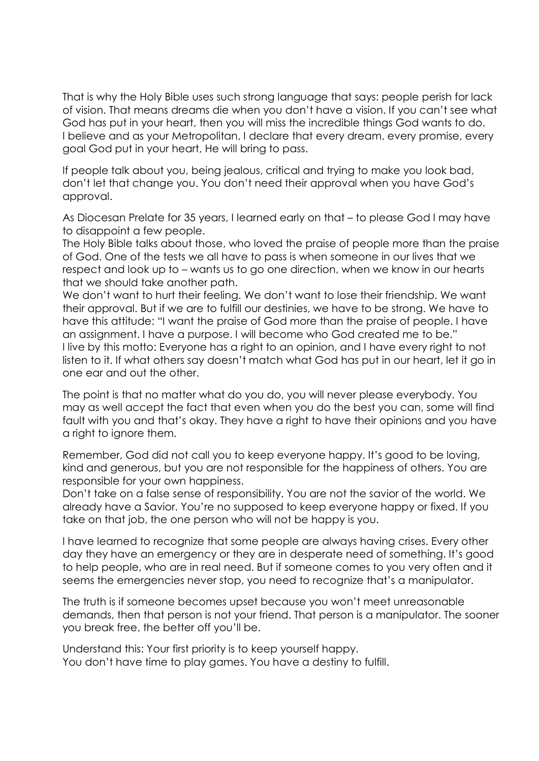That is why the Holy Bible uses such strong language that says: people perish for lack of vision. That means dreams die when you don't have a vision. If you can't see what God has put in your heart, then you will miss the incredible things God wants to do. I believe and as your Metropolitan, I declare that every dream, every promise, every goal God put in your heart, He will bring to pass.

If people talk about you, being jealous, critical and trying to make you look bad, don't let that change you. You don't need their approval when you have God's approval.

As Diocesan Prelate for 35 years, I learned early on that – to please God I may have to disappoint a few people.

The Holy Bible talks about those, who loved the praise of people more than the praise of God. One of the tests we all have to pass is when someone in our lives that we respect and look up to – wants us to go one direction, when we know in our hearts that we should take another path.

We don't want to hurt their feeling. We don't want to lose their friendship. We want their approval. But if we are to fulfill our destinies, we have to be strong. We have to have this attitude: "I want the praise of God more than the praise of people. I have an assignment. I have a purpose. I will become who God created me to be." I live by this motto: Everyone has a right to an opinion, and I have every right to not listen to it. If what others say doesn't match what God has put in our heart, let it go in one ear and out the other.

The point is that no matter what do you do, you will never please everybody. You may as well accept the fact that even when you do the best you can, some will find fault with you and that's okay. They have a right to have their opinions and you have a right to ignore them.

Remember, God did not call you to keep everyone happy. It's good to be loving, kind and generous, but you are not responsible for the happiness of others. You are responsible for your own happiness.

Don't take on a false sense of responsibility. You are not the savior of the world. We already have a Savior. You're no supposed to keep everyone happy or fixed. If you take on that job, the one person who will not be happy is you.

I have learned to recognize that some people are always having crises. Every other day they have an emergency or they are in desperate need of something. It's good to help people, who are in real need. But if someone comes to you very often and it seems the emergencies never stop, you need to recognize that's a manipulator.

The truth is if someone becomes upset because you won't meet unreasonable demands, then that person is not your friend. That person is a manipulator. The sooner you break free, the better off you'll be.

Understand this: Your first priority is to keep yourself happy. You don't have time to play games. You have a destiny to fulfill.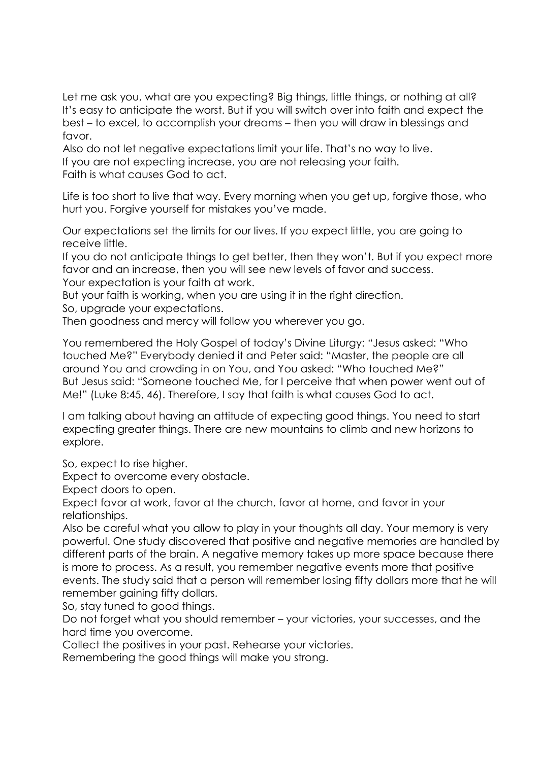Let me ask you, what are you expecting? Big things, little things, or nothing at all? It's easy to anticipate the worst. But if you will switch over into faith and expect the best – to excel, to accomplish your dreams – then you will draw in blessings and favor.

Also do not let negative expectations limit your life. That's no way to live. If you are not expecting increase, you are not releasing your faith. Faith is what causes God to act.

Life is too short to live that way. Every morning when you get up, forgive those, who hurt you. Forgive yourself for mistakes you've made.

Our expectations set the limits for our lives. If you expect little, you are going to receive little.

If you do not anticipate things to get better, then they won't. But if you expect more favor and an increase, then you will see new levels of favor and success. Your expectation is your faith at work.

But your faith is working, when you are using it in the right direction.

So, upgrade your expectations.

Then goodness and mercy will follow you wherever you go.

You remembered the Holy Gospel of today's Divine Liturgy: "Jesus asked: "Who touched Me?" Everybody denied it and Peter said: "Master, the people are all around You and crowding in on You, and You asked: "Who touched Me?" But Jesus said: "Someone touched Me, for I perceive that when power went out of Me!" (Luke 8:45, 46). Therefore, I say that faith is what causes God to act.

I am talking about having an attitude of expecting good things. You need to start expecting greater things. There are new mountains to climb and new horizons to explore.

So, expect to rise higher.

Expect to overcome every obstacle.

Expect doors to open.

Expect favor at work, favor at the church, favor at home, and favor in your relationships.

Also be careful what you allow to play in your thoughts all day. Your memory is very powerful. One study discovered that positive and negative memories are handled by different parts of the brain. A negative memory takes up more space because there is more to process. As a result, you remember negative events more that positive events. The study said that a person will remember losing fifty dollars more that he will remember gaining fifty dollars.

So, stay tuned to good things.

Do not forget what you should remember – your victories, your successes, and the hard time you overcome.

Collect the positives in your past. Rehearse your victories.

Remembering the good things will make you strong.